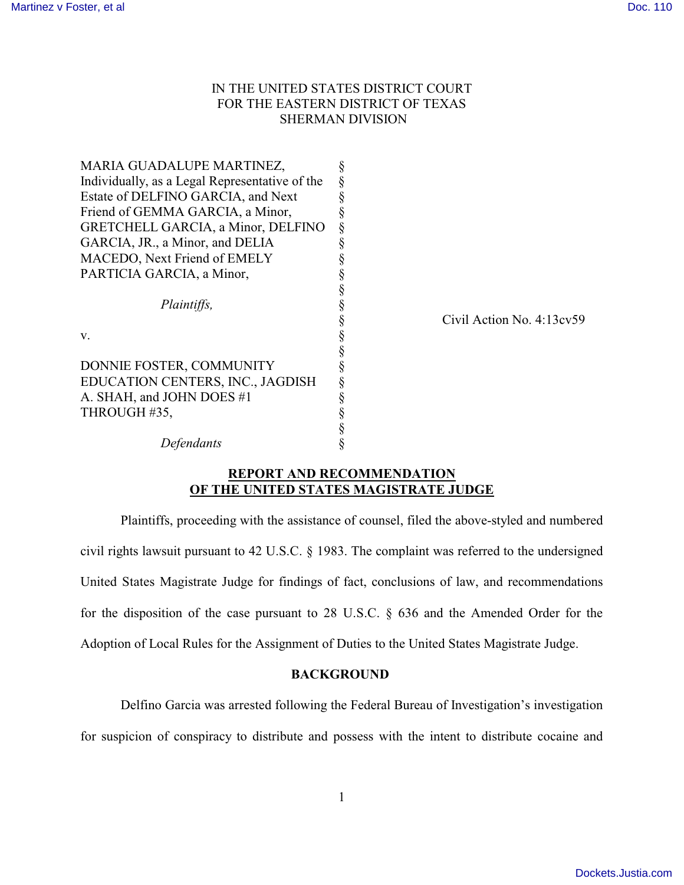# IN THE UNITED STATES DISTRICT COURT FOR THE EASTERN DISTRICT OF TEXAS SHERMAN DIVISION

| MARIA GUADALUPE MARTINEZ,                      |           |
|------------------------------------------------|-----------|
| Individually, as a Legal Representative of the |           |
| Estate of DELFINO GARCIA, and Next             |           |
| Friend of GEMMA GARCIA, a Minor,               |           |
| GRETCHELL GARCIA, a Minor, DELFINO             |           |
| GARCIA, JR., a Minor, and DELIA                |           |
| MACEDO, Next Friend of EMELY                   |           |
| PARTICIA GARCIA, a Minor,                      |           |
|                                                |           |
| Plaintiffs,                                    |           |
|                                                | Civil Act |
| V.                                             |           |
|                                                |           |
| DONNIE FOSTER, COMMUNITY                       |           |
| EDUCATION CENTERS, INC., JAGDISH               |           |
| A. SHAH, and JOHN DOES #1                      |           |
| THROUGH #35,                                   |           |
|                                                |           |
| Defendants                                     |           |

tion No. 4:13cv59

# **REPORT AND RECOMMENDATION OF THE UNITED STATES MAGISTRATE JUDGE**

Plaintiffs, proceeding with the assistance of counsel, filed the above-styled and numbered civil rights lawsuit pursuant to 42 U.S.C. § 1983. The complaint was referred to the undersigned United States Magistrate Judge for findings of fact, conclusions of law, and recommendations for the disposition of the case pursuant to 28 U.S.C. § 636 and the Amended Order for the Adoption of Local Rules for the Assignment of Duties to the United States Magistrate Judge.

## **BACKGROUND**

Delfino Garcia was arrested following the Federal Bureau of Investigation's investigation

for suspicion of conspiracy to distribute and possess with the intent to distribute cocaine and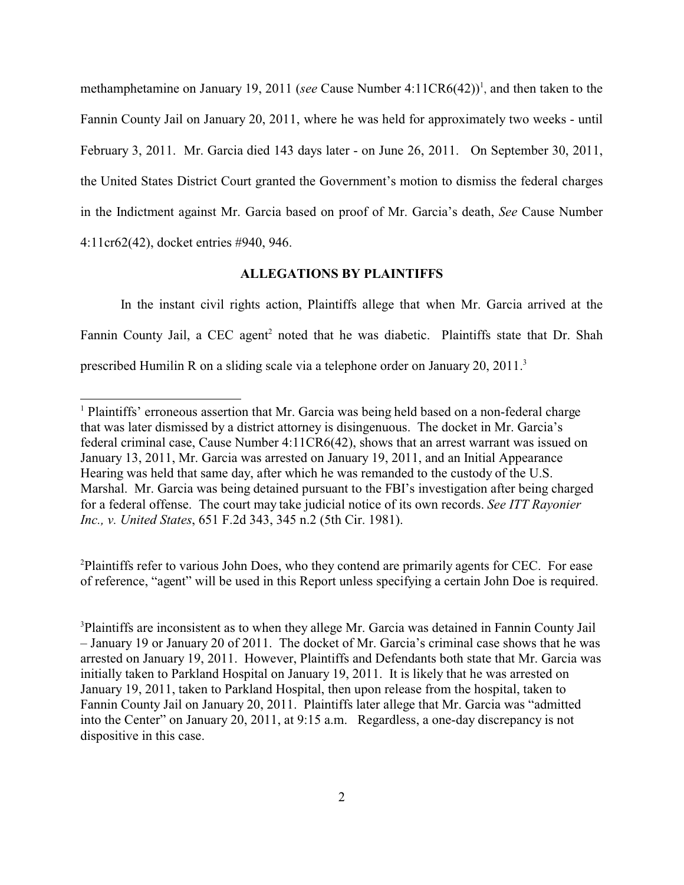methamphetamine on January 19, 2011 (*see* Cause Number 4:11CR6(42))<sup>1</sup>, and then taken to the Fannin County Jail on January 20, 2011, where he was held for approximately two weeks - until February 3, 2011. Mr. Garcia died 143 days later - on June 26, 2011. On September 30, 2011, the United States District Court granted the Government's motion to dismiss the federal charges in the Indictment against Mr. Garcia based on proof of Mr. Garcia's death, *See* Cause Number 4:11cr62(42), docket entries #940, 946.

## **ALLEGATIONS BY PLAINTIFFS**

In the instant civil rights action, Plaintiffs allege that when Mr. Garcia arrived at the Fannin County Jail, a CEC agent<sup>2</sup> noted that he was diabetic. Plaintiffs state that Dr. Shah prescribed Humilin R on a sliding scale via a telephone order on January 20, 2011.<sup>3</sup>

<sup>2</sup>Plaintiffs refer to various John Does, who they contend are primarily agents for CEC. For ease of reference, "agent" will be used in this Report unless specifying a certain John Doe is required.

<sup>&</sup>lt;sup>1</sup> Plaintiffs' erroneous assertion that Mr. Garcia was being held based on a non-federal charge that was later dismissed by a district attorney is disingenuous. The docket in Mr. Garcia's federal criminal case, Cause Number 4:11CR6(42), shows that an arrest warrant was issued on January 13, 2011, Mr. Garcia was arrested on January 19, 2011, and an Initial Appearance Hearing was held that same day, after which he was remanded to the custody of the U.S. Marshal. Mr. Garcia was being detained pursuant to the FBI's investigation after being charged for a federal offense. The court may take judicial notice of its own records. *See ITT Rayonier Inc., v. United States*, 651 F.2d 343, 345 n.2 (5th Cir. 1981).

<sup>3</sup>Plaintiffs are inconsistent as to when they allege Mr. Garcia was detained in Fannin County Jail – January 19 or January 20 of 2011. The docket of Mr. Garcia's criminal case shows that he was arrested on January 19, 2011. However, Plaintiffs and Defendants both state that Mr. Garcia was initially taken to Parkland Hospital on January 19, 2011. It is likely that he was arrested on January 19, 2011, taken to Parkland Hospital, then upon release from the hospital, taken to Fannin County Jail on January 20, 2011. Plaintiffs later allege that Mr. Garcia was "admitted into the Center" on January 20, 2011, at 9:15 a.m. Regardless, a one-day discrepancy is not dispositive in this case.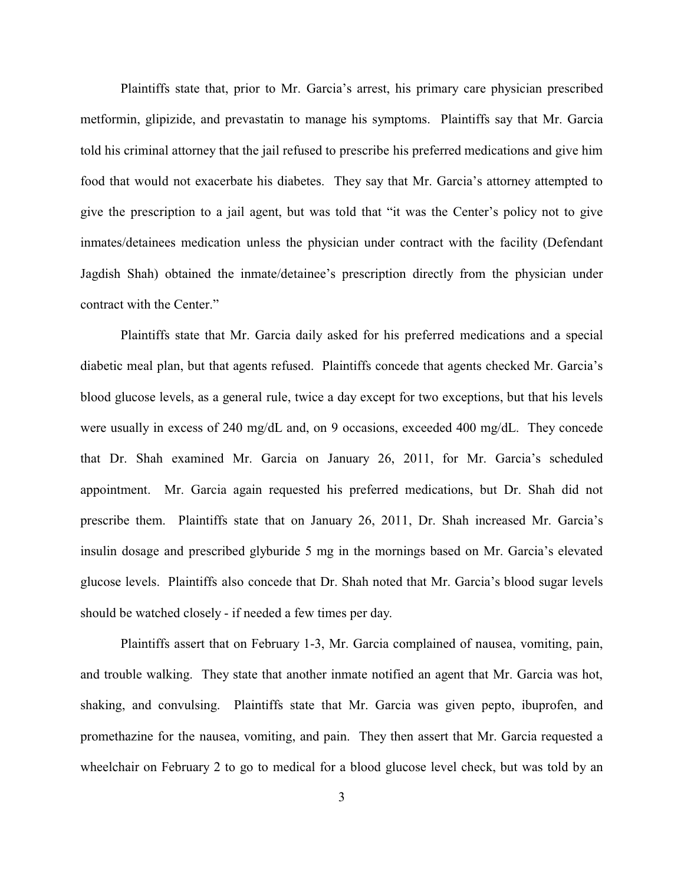Plaintiffs state that, prior to Mr. Garcia's arrest, his primary care physician prescribed metformin, glipizide, and prevastatin to manage his symptoms. Plaintiffs say that Mr. Garcia told his criminal attorney that the jail refused to prescribe his preferred medications and give him food that would not exacerbate his diabetes. They say that Mr. Garcia's attorney attempted to give the prescription to a jail agent, but was told that "it was the Center's policy not to give inmates/detainees medication unless the physician under contract with the facility (Defendant Jagdish Shah) obtained the inmate/detainee's prescription directly from the physician under contract with the Center."

Plaintiffs state that Mr. Garcia daily asked for his preferred medications and a special diabetic meal plan, but that agents refused. Plaintiffs concede that agents checked Mr. Garcia's blood glucose levels, as a general rule, twice a day except for two exceptions, but that his levels were usually in excess of 240 mg/dL and, on 9 occasions, exceeded 400 mg/dL. They concede that Dr. Shah examined Mr. Garcia on January 26, 2011, for Mr. Garcia's scheduled appointment. Mr. Garcia again requested his preferred medications, but Dr. Shah did not prescribe them. Plaintiffs state that on January 26, 2011, Dr. Shah increased Mr. Garcia's insulin dosage and prescribed glyburide 5 mg in the mornings based on Mr. Garcia's elevated glucose levels. Plaintiffs also concede that Dr. Shah noted that Mr. Garcia's blood sugar levels should be watched closely - if needed a few times per day.

Plaintiffs assert that on February 1-3, Mr. Garcia complained of nausea, vomiting, pain, and trouble walking. They state that another inmate notified an agent that Mr. Garcia was hot, shaking, and convulsing. Plaintiffs state that Mr. Garcia was given pepto, ibuprofen, and promethazine for the nausea, vomiting, and pain. They then assert that Mr. Garcia requested a wheelchair on February 2 to go to medical for a blood glucose level check, but was told by an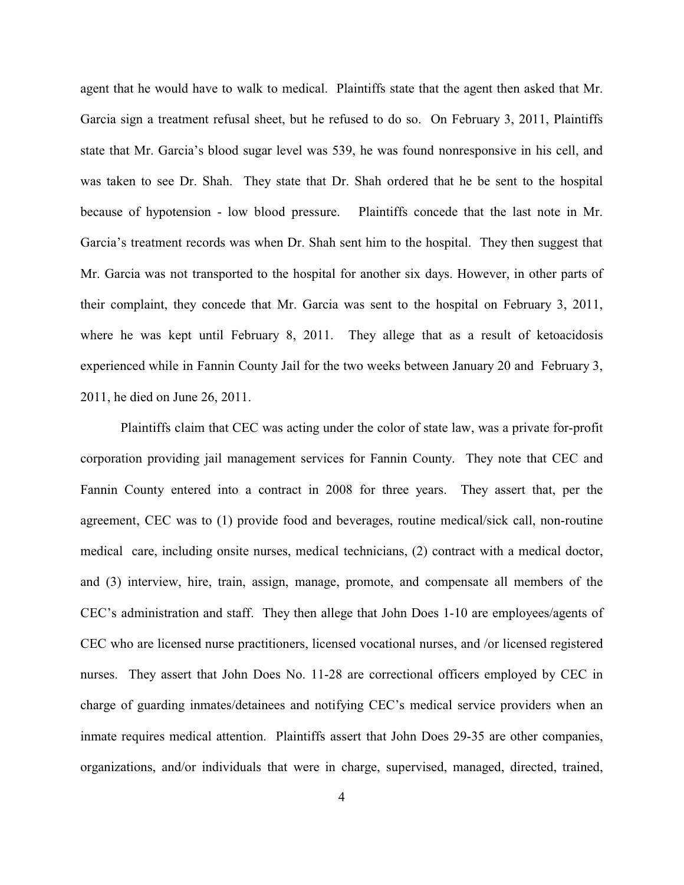agent that he would have to walk to medical. Plaintiffs state that the agent then asked that Mr. Garcia sign a treatment refusal sheet, but he refused to do so. On February 3, 2011, Plaintiffs state that Mr. Garcia's blood sugar level was 539, he was found nonresponsive in his cell, and was taken to see Dr. Shah. They state that Dr. Shah ordered that he be sent to the hospital because of hypotension - low blood pressure. Plaintiffs concede that the last note in Mr. Garcia's treatment records was when Dr. Shah sent him to the hospital. They then suggest that Mr. Garcia was not transported to the hospital for another six days. However, in other parts of their complaint, they concede that Mr. Garcia was sent to the hospital on February 3, 2011, where he was kept until February 8, 2011. They allege that as a result of ketoacidosis experienced while in Fannin County Jail for the two weeks between January 20 and February 3, 2011, he died on June 26, 2011.

Plaintiffs claim that CEC was acting under the color of state law, was a private for-profit corporation providing jail management services for Fannin County. They note that CEC and Fannin County entered into a contract in 2008 for three years. They assert that, per the agreement, CEC was to (1) provide food and beverages, routine medical/sick call, non-routine medical care, including onsite nurses, medical technicians, (2) contract with a medical doctor, and (3) interview, hire, train, assign, manage, promote, and compensate all members of the CEC's administration and staff. They then allege that John Does 1-10 are employees/agents of CEC who are licensed nurse practitioners, licensed vocational nurses, and /or licensed registered nurses. They assert that John Does No. 11-28 are correctional officers employed by CEC in charge of guarding inmates/detainees and notifying CEC's medical service providers when an inmate requires medical attention. Plaintiffs assert that John Does 29-35 are other companies, organizations, and/or individuals that were in charge, supervised, managed, directed, trained,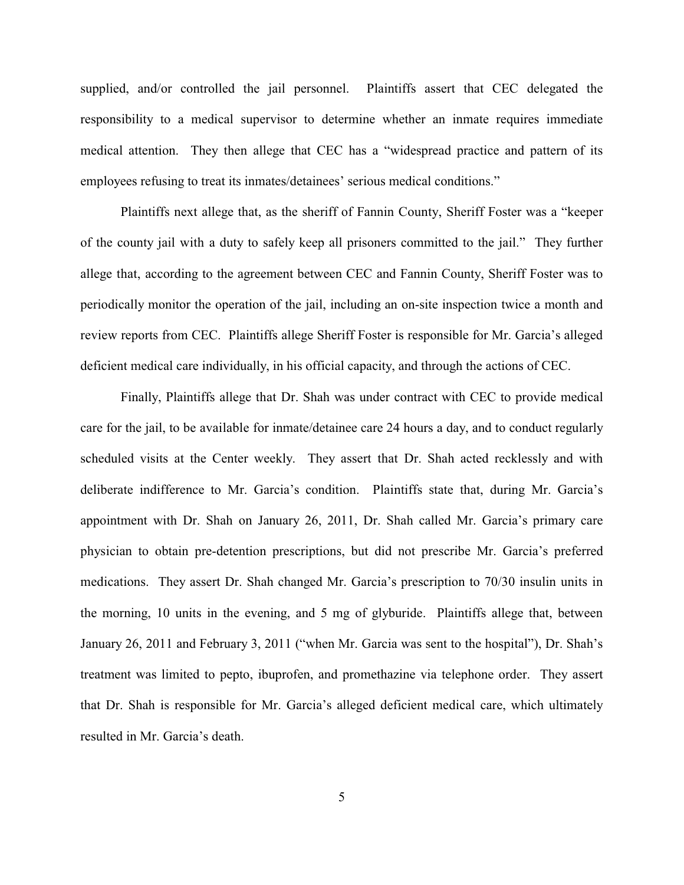supplied, and/or controlled the jail personnel. Plaintiffs assert that CEC delegated the responsibility to a medical supervisor to determine whether an inmate requires immediate medical attention. They then allege that CEC has a "widespread practice and pattern of its employees refusing to treat its inmates/detainees' serious medical conditions."

Plaintiffs next allege that, as the sheriff of Fannin County, Sheriff Foster was a "keeper of the county jail with a duty to safely keep all prisoners committed to the jail." They further allege that, according to the agreement between CEC and Fannin County, Sheriff Foster was to periodically monitor the operation of the jail, including an on-site inspection twice a month and review reports from CEC. Plaintiffs allege Sheriff Foster is responsible for Mr. Garcia's alleged deficient medical care individually, in his official capacity, and through the actions of CEC.

Finally, Plaintiffs allege that Dr. Shah was under contract with CEC to provide medical care for the jail, to be available for inmate/detainee care 24 hours a day, and to conduct regularly scheduled visits at the Center weekly. They assert that Dr. Shah acted recklessly and with deliberate indifference to Mr. Garcia's condition. Plaintiffs state that, during Mr. Garcia's appointment with Dr. Shah on January 26, 2011, Dr. Shah called Mr. Garcia's primary care physician to obtain pre-detention prescriptions, but did not prescribe Mr. Garcia's preferred medications. They assert Dr. Shah changed Mr. Garcia's prescription to 70/30 insulin units in the morning, 10 units in the evening, and 5 mg of glyburide. Plaintiffs allege that, between January 26, 2011 and February 3, 2011 ("when Mr. Garcia was sent to the hospital"), Dr. Shah's treatment was limited to pepto, ibuprofen, and promethazine via telephone order. They assert that Dr. Shah is responsible for Mr. Garcia's alleged deficient medical care, which ultimately resulted in Mr. Garcia's death.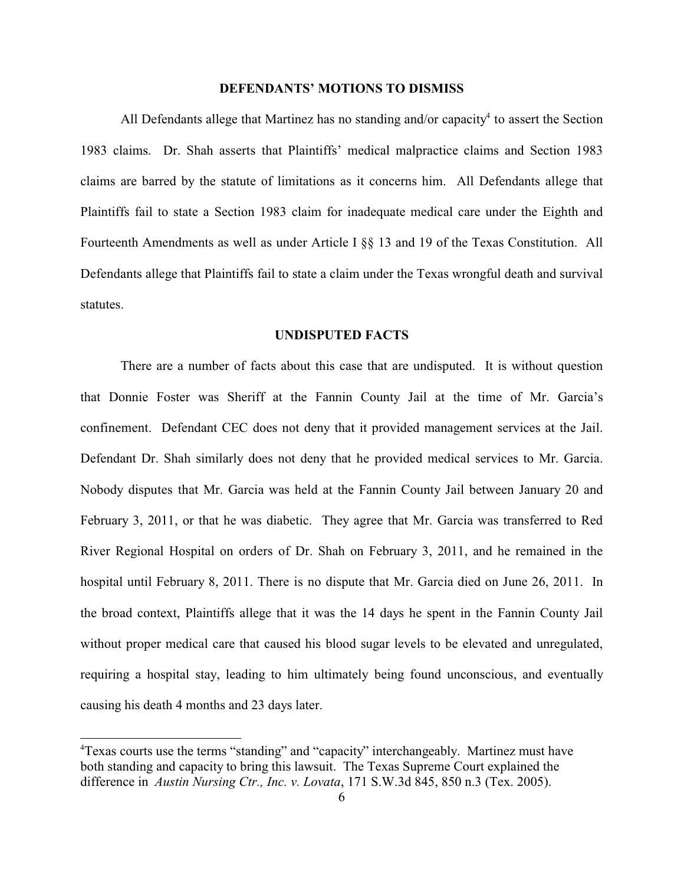## **DEFENDANTS' MOTIONS TO DISMISS**

All Defendants allege that Martinez has no standing and/or capacity<sup>4</sup> to assert the Section 1983 claims. Dr. Shah asserts that Plaintiffs' medical malpractice claims and Section 1983 claims are barred by the statute of limitations as it concerns him. All Defendants allege that Plaintiffs fail to state a Section 1983 claim for inadequate medical care under the Eighth and Fourteenth Amendments as well as under Article I §§ 13 and 19 of the Texas Constitution. All Defendants allege that Plaintiffs fail to state a claim under the Texas wrongful death and survival statutes.

### **UNDISPUTED FACTS**

There are a number of facts about this case that are undisputed. It is without question that Donnie Foster was Sheriff at the Fannin County Jail at the time of Mr. Garcia's confinement. Defendant CEC does not deny that it provided management services at the Jail. Defendant Dr. Shah similarly does not deny that he provided medical services to Mr. Garcia. Nobody disputes that Mr. Garcia was held at the Fannin County Jail between January 20 and February 3, 2011, or that he was diabetic. They agree that Mr. Garcia was transferred to Red River Regional Hospital on orders of Dr. Shah on February 3, 2011, and he remained in the hospital until February 8, 2011. There is no dispute that Mr. Garcia died on June 26, 2011. In the broad context, Plaintiffs allege that it was the 14 days he spent in the Fannin County Jail without proper medical care that caused his blood sugar levels to be elevated and unregulated, requiring a hospital stay, leading to him ultimately being found unconscious, and eventually causing his death 4 months and 23 days later.

<sup>4</sup>Texas courts use the terms "standing" and "capacity" interchangeably. Martinez must have both standing and capacity to bring this lawsuit. The Texas Supreme Court explained the difference in *Austin Nursing Ctr., Inc. v. Lovata*, 171 S.W.3d 845, 850 n.3 (Tex. 2005).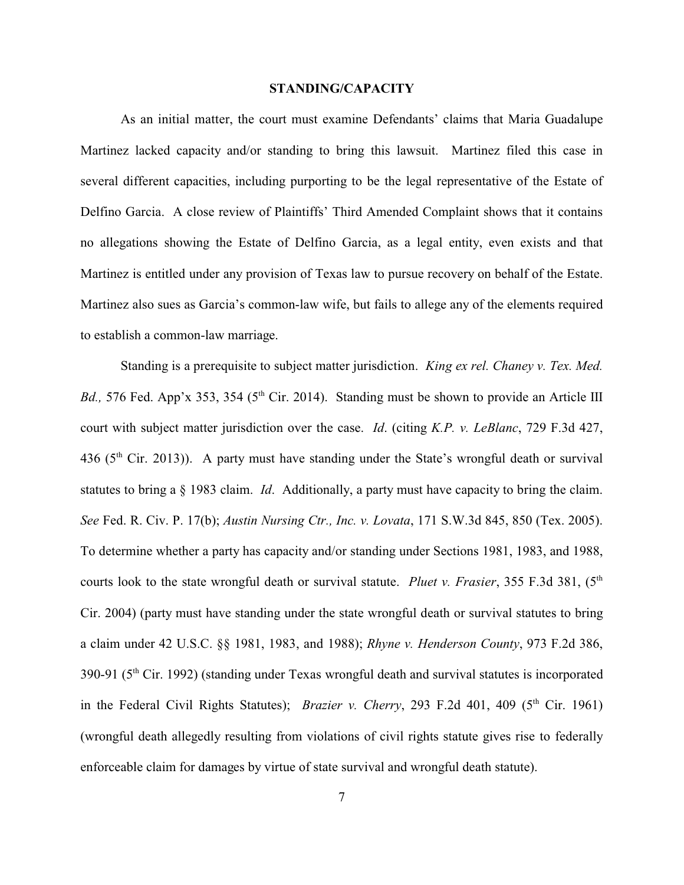#### **STANDING/CAPACITY**

As an initial matter, the court must examine Defendants' claims that Maria Guadalupe Martinez lacked capacity and/or standing to bring this lawsuit. Martinez filed this case in several different capacities, including purporting to be the legal representative of the Estate of Delfino Garcia. A close review of Plaintiffs' Third Amended Complaint shows that it contains no allegations showing the Estate of Delfino Garcia, as a legal entity, even exists and that Martinez is entitled under any provision of Texas law to pursue recovery on behalf of the Estate. Martinez also sues as Garcia's common-law wife, but fails to allege any of the elements required to establish a common-law marriage.

Standing is a prerequisite to subject matter jurisdiction. *King ex rel. Chaney v. Tex. Med. Bd.*, 576 Fed. App'x 353, 354 (5<sup>th</sup> Cir. 2014). Standing must be shown to provide an Article III court with subject matter jurisdiction over the case. *Id*. (citing *K.P. v. LeBlanc*, 729 F.3d 427, 436 ( $5<sup>th</sup>$  Cir. 2013)). A party must have standing under the State's wrongful death or survival statutes to bring a § 1983 claim. *Id*. Additionally, a party must have capacity to bring the claim. *See* Fed. R. Civ. P. 17(b); *Austin Nursing Ctr., Inc. v. Lovata*, 171 S.W.3d 845, 850 (Tex. 2005). To determine whether a party has capacity and/or standing under Sections 1981, 1983, and 1988, courts look to the state wrongful death or survival statute. *Pluet v. Frasier*, 355 F.3d 381, (5<sup>th</sup>) Cir. 2004) (party must have standing under the state wrongful death or survival statutes to bring a claim under 42 U.S.C. §§ 1981, 1983, and 1988); *Rhyne v. Henderson County*, 973 F.2d 386, 390-91 (5th Cir. 1992) (standing under Texas wrongful death and survival statutes is incorporated in the Federal Civil Rights Statutes); *Brazier v. Cherry*, 293 F.2d 401, 409 ( $5<sup>th</sup>$  Cir. 1961) (wrongful death allegedly resulting from violations of civil rights statute gives rise to federally enforceable claim for damages by virtue of state survival and wrongful death statute).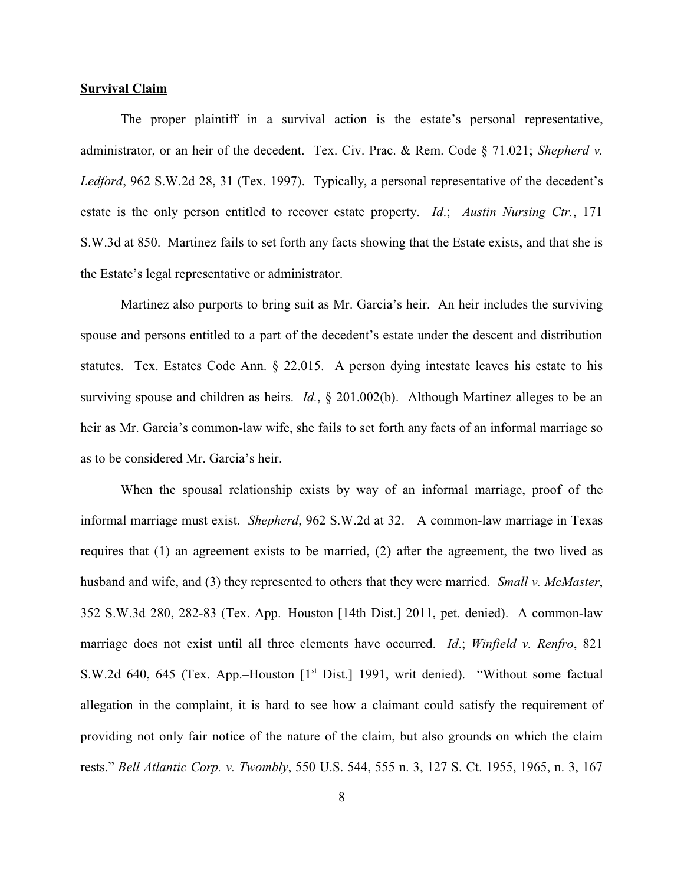### **Survival Claim**

The proper plaintiff in a survival action is the estate's personal representative, administrator, or an heir of the decedent. Tex. Civ. Prac. & Rem. Code § 71.021; *Shepherd v. Ledford*, 962 S.W.2d 28, 31 (Tex. 1997). Typically, a personal representative of the decedent's estate is the only person entitled to recover estate property. *Id*.; *Austin Nursing Ctr.*, 171 S.W.3d at 850. Martinez fails to set forth any facts showing that the Estate exists, and that she is the Estate's legal representative or administrator.

Martinez also purports to bring suit as Mr. Garcia's heir. An heir includes the surviving spouse and persons entitled to a part of the decedent's estate under the descent and distribution statutes. Tex. Estates Code Ann. § 22.015. A person dying intestate leaves his estate to his surviving spouse and children as heirs. *Id.*, § 201.002(b). Although Martinez alleges to be an heir as Mr. Garcia's common-law wife, she fails to set forth any facts of an informal marriage so as to be considered Mr. Garcia's heir.

When the spousal relationship exists by way of an informal marriage, proof of the informal marriage must exist. *Shepherd*, 962 S.W.2d at 32. A common-law marriage in Texas requires that (1) an agreement exists to be married, (2) after the agreement, the two lived as husband and wife, and (3) they represented to others that they were married. *Small v. McMaster*, 352 S.W.3d 280, 282-83 (Tex. App.–Houston [14th Dist.] 2011, pet. denied). A common-law marriage does not exist until all three elements have occurred. *Id*.; *Winfield v. Renfro*, 821 S.W.2d 640, 645 (Tex. App.–Houston [1<sup>st</sup> Dist.] 1991, writ denied). "Without some factual allegation in the complaint, it is hard to see how a claimant could satisfy the requirement of providing not only fair notice of the nature of the claim, but also grounds on which the claim rests." *Bell Atlantic Corp. v. Twombly*, 550 U.S. 544, 555 n. 3, 127 S. Ct. 1955, 1965, n. 3, 167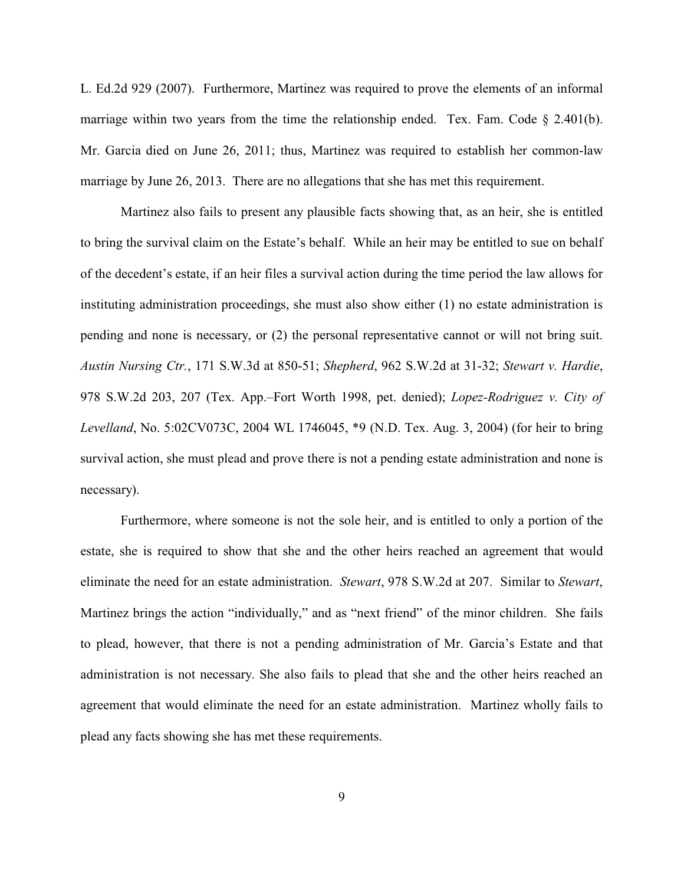L. Ed.2d 929 (2007). Furthermore, Martinez was required to prove the elements of an informal marriage within two years from the time the relationship ended. Tex. Fam. Code  $\S$  2.401(b). Mr. Garcia died on June 26, 2011; thus, Martinez was required to establish her common-law marriage by June 26, 2013. There are no allegations that she has met this requirement.

Martinez also fails to present any plausible facts showing that, as an heir, she is entitled to bring the survival claim on the Estate's behalf. While an heir may be entitled to sue on behalf of the decedent's estate, if an heir files a survival action during the time period the law allows for instituting administration proceedings, she must also show either (1) no estate administration is pending and none is necessary, or (2) the personal representative cannot or will not bring suit. *Austin Nursing Ctr.*, 171 S.W.3d at 850-51; *Shepherd*, 962 S.W.2d at 31-32; *Stewart v. Hardie*, 978 S.W.2d 203, 207 (Tex. App.–Fort Worth 1998, pet. denied); *Lopez-Rodriguez v. City of Levelland*, No. 5:02CV073C, 2004 WL 1746045, \*9 (N.D. Tex. Aug. 3, 2004) (for heir to bring survival action, she must plead and prove there is not a pending estate administration and none is necessary).

Furthermore, where someone is not the sole heir, and is entitled to only a portion of the estate, she is required to show that she and the other heirs reached an agreement that would eliminate the need for an estate administration. *Stewart*, 978 S.W.2d at 207. Similar to *Stewart*, Martinez brings the action "individually," and as "next friend" of the minor children. She fails to plead, however, that there is not a pending administration of Mr. Garcia's Estate and that administration is not necessary. She also fails to plead that she and the other heirs reached an agreement that would eliminate the need for an estate administration. Martinez wholly fails to plead any facts showing she has met these requirements.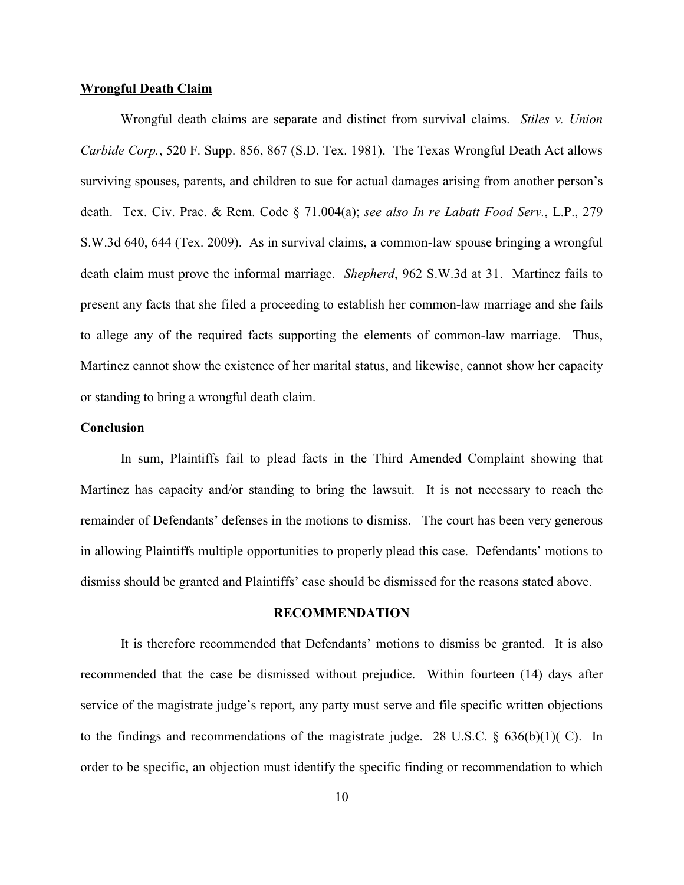#### **Wrongful Death Claim**

Wrongful death claims are separate and distinct from survival claims. *Stiles v. Union Carbide Corp.*, 520 F. Supp. 856, 867 (S.D. Tex. 1981). The Texas Wrongful Death Act allows surviving spouses, parents, and children to sue for actual damages arising from another person's death. Tex. Civ. Prac. & Rem. Code § 71.004(a); *see also In re Labatt Food Serv.*, L.P., 279 S.W.3d 640, 644 (Tex. 2009). As in survival claims, a common-law spouse bringing a wrongful death claim must prove the informal marriage. *Shepherd*, 962 S.W.3d at 31. Martinez fails to present any facts that she filed a proceeding to establish her common-law marriage and she fails to allege any of the required facts supporting the elements of common-law marriage. Thus, Martinez cannot show the existence of her marital status, and likewise, cannot show her capacity or standing to bring a wrongful death claim.

#### **Conclusion**

In sum, Plaintiffs fail to plead facts in the Third Amended Complaint showing that Martinez has capacity and/or standing to bring the lawsuit. It is not necessary to reach the remainder of Defendants' defenses in the motions to dismiss. The court has been very generous in allowing Plaintiffs multiple opportunities to properly plead this case. Defendants' motions to dismiss should be granted and Plaintiffs' case should be dismissed for the reasons stated above.

#### **RECOMMENDATION**

It is therefore recommended that Defendants' motions to dismiss be granted. It is also recommended that the case be dismissed without prejudice. Within fourteen (14) days after service of the magistrate judge's report, any party must serve and file specific written objections to the findings and recommendations of the magistrate judge. 28 U.S.C. § 636(b)(1)( C). In order to be specific, an objection must identify the specific finding or recommendation to which